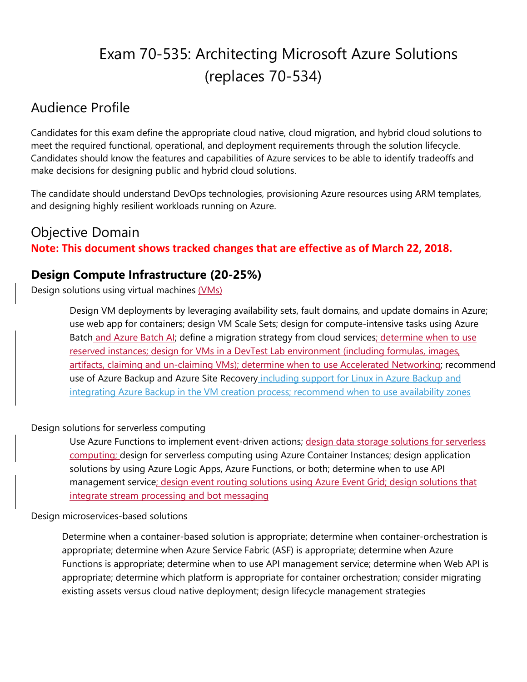# Exam 70-535: Architecting Microsoft Azure Solutions (replaces 70-534)

# Audience Profile

Candidates for this exam define the appropriate cloud native, cloud migration, and hybrid cloud solutions to meet the required functional, operational, and deployment requirements through the solution lifecycle. Candidates should know the features and capabilities of Azure services to be able to identify tradeoffs and make decisions for designing public and hybrid cloud solutions.

The candidate should understand DevOps technologies, provisioning Azure resources using ARM templates, and designing highly resilient workloads running on Azure.

# Objective Domain **Note: This document shows tracked changes that are effective as of March 22, 2018.**

### **Design Compute Infrastructure (20-25%)**

Design solutions using virtual machines (VMs)

Design VM deployments by leveraging availability sets, fault domains, and update domains in Azure; use web app for containers; design VM Scale Sets; design for compute-intensive tasks using Azure Batch and Azure Batch AI; define a migration strategy from cloud services; determine when to use reserved instances; design for VMs in a DevTest Lab environment (including formulas, images, artifacts, claiming and un-claiming VMs); determine when to use Accelerated Networking; recommend use of Azure Backup and Azure Site Recovery including support for Linux in Azure Backup and integrating Azure Backup in the VM creation process; recommend when to use availability zones

#### Design solutions for serverless computing

Use Azure Functions to implement event-driven actions; design data storage solutions for serverless computing; design for serverless computing using Azure Container Instances; design application solutions by using Azure Logic Apps, Azure Functions, or both; determine when to use API management service; design event routing solutions using Azure Event Grid; design solutions that integrate stream processing and bot messaging

#### Design microservices-based solutions

Determine when a container-based solution is appropriate; determine when container-orchestration is appropriate; determine when Azure Service Fabric (ASF) is appropriate; determine when Azure Functions is appropriate; determine when to use API management service; determine when Web API is appropriate; determine which platform is appropriate for container orchestration; consider migrating existing assets versus cloud native deployment; design lifecycle management strategies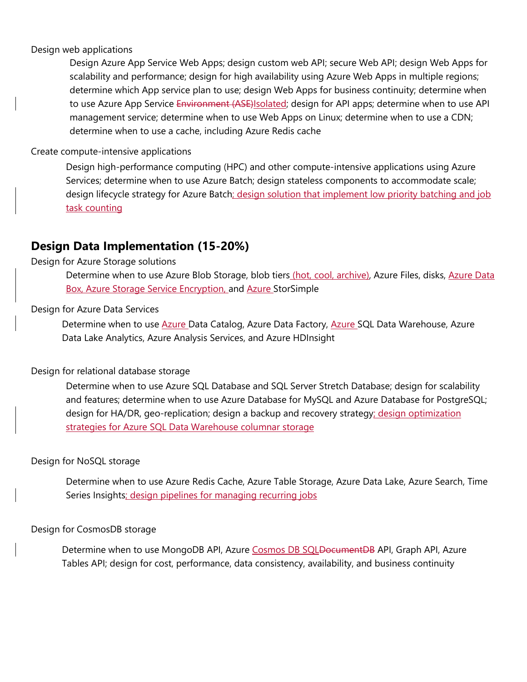#### Design web applications

Design Azure App Service Web Apps; design custom web API; secure Web API; design Web Apps for scalability and performance; design for high availability using Azure Web Apps in multiple regions; determine which App service plan to use; design Web Apps for business continuity; determine when to use Azure App Service Environment (ASE) solated; design for API apps; determine when to use API management service; determine when to use Web Apps on Linux; determine when to use a CDN; determine when to use a cache, including Azure Redis cache

#### Create compute-intensive applications

Design high-performance computing (HPC) and other compute-intensive applications using Azure Services; determine when to use Azure Batch; design stateless components to accommodate scale; design lifecycle strategy for Azure Batch; design solution that implement low priority batching and job task counting

### **Design Data Implementation (15-20%)**

#### Design for Azure Storage solutions

Determine when to use Azure Blob Storage, blob tiers (hot, cool, archive), Azure Files, disks, Azure Data Box, Azure Storage Service Encryption, and Azure StorSimple

#### Design for Azure Data Services

Determine when to use **Azure Data Catalog, Azure Data Factory**, **Azure SQL Data Warehouse**, Azure Data Lake Analytics, Azure Analysis Services, and Azure HDInsight

#### Design for relational database storage

Determine when to use Azure SQL Database and SQL Server Stretch Database; design for scalability and features; determine when to use Azure Database for MySQL and Azure Database for PostgreSQL; design for HA/DR, geo-replication; design a backup and recovery strategy; design optimization strategies for Azure SQL Data Warehouse columnar storage

#### Design for NoSQL storage

Determine when to use Azure Redis Cache, Azure Table Storage, Azure Data Lake, Azure Search, Time Series Insights; design pipelines for managing recurring jobs

#### Design for CosmosDB storage

Determine when to use MongoDB API, Azure Cosmos DB SQLDocumentDB API, Graph API, Azure Tables API; design for cost, performance, data consistency, availability, and business continuity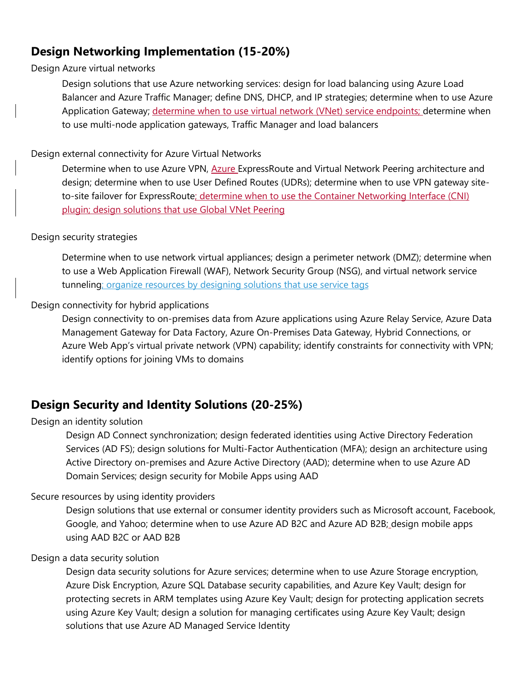# **Design Networking Implementation (15-20%)**

Design Azure virtual networks

Design solutions that use Azure networking services: design for load balancing using Azure Load Balancer and Azure Traffic Manager; define DNS, DHCP, and IP strategies; determine when to use Azure Application Gateway; determine when to use virtual network (VNet) service endpoints; determine when to use multi-node application gateways, Traffic Manager and load balancers

#### Design external connectivity for Azure Virtual Networks

Determine when to use Azure VPN, Azure ExpressRoute and Virtual Network Peering architecture and design; determine when to use User Defined Routes (UDRs); determine when to use VPN gateway siteto-site failover for ExpressRoute; determine when to use the Container Networking Interface (CNI) plugin; design solutions that use Global VNet Peering

#### Design security strategies

Determine when to use network virtual appliances; design a perimeter network (DMZ); determine when to use a Web Application Firewall (WAF), Network Security Group (NSG), and virtual network service tunneling; organize resources by designing solutions that use service tags

#### Design connectivity for hybrid applications

Design connectivity to on-premises data from Azure applications using Azure Relay Service, Azure Data Management Gateway for Data Factory, Azure On-Premises Data Gateway, Hybrid Connections, or Azure Web App's virtual private network (VPN) capability; identify constraints for connectivity with VPN; identify options for joining VMs to domains

# **Design Security and Identity Solutions (20-25%)**

#### Design an identity solution

Design AD Connect synchronization; design federated identities using Active Directory Federation Services (AD FS); design solutions for Multi-Factor Authentication (MFA); design an architecture using Active Directory on-premises and Azure Active Directory (AAD); determine when to use Azure AD Domain Services; design security for Mobile Apps using AAD

#### Secure resources by using identity providers

Design solutions that use external or consumer identity providers such as Microsoft account, Facebook, Google, and Yahoo; determine when to use Azure AD B2C and Azure AD B2B; design mobile apps using AAD B2C or AAD B2B

#### Design a data security solution

Design data security solutions for Azure services; determine when to use Azure Storage encryption, Azure Disk Encryption, Azure SQL Database security capabilities, and Azure Key Vault; design for protecting secrets in ARM templates using Azure Key Vault; design for protecting application secrets using Azure Key Vault; design a solution for managing certificates using Azure Key Vault; design solutions that use Azure AD Managed Service Identity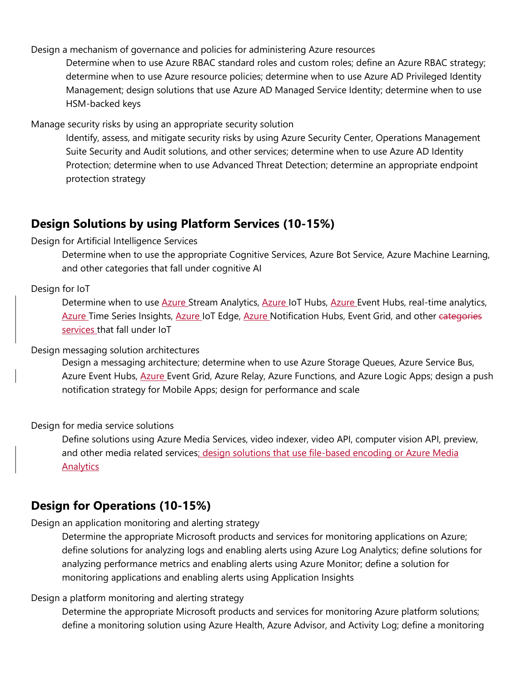Design a mechanism of governance and policies for administering Azure resources

Determine when to use Azure RBAC standard roles and custom roles; define an Azure RBAC strategy; determine when to use Azure resource policies; determine when to use Azure AD Privileged Identity Management; design solutions that use Azure AD Managed Service Identity; determine when to use HSM-backed keys

Manage security risks by using an appropriate security solution

Identify, assess, and mitigate security risks by using Azure Security Center, Operations Management Suite Security and Audit solutions, and other services; determine when to use Azure AD Identity Protection; determine when to use Advanced Threat Detection; determine an appropriate endpoint protection strategy

## **Design Solutions by using Platform Services (10-15%)**

#### Design for Artificial Intelligence Services

Determine when to use the appropriate Cognitive Services, Azure Bot Service, Azure Machine Learning, and other categories that fall under cognitive AI

#### Design for IoT

Determine when to use Azure Stream Analytics, Azure IoT Hubs, Azure Event Hubs, real-time analytics, Azure Time Series Insights, Azure IoT Edge, Azure Notification Hubs, Event Grid, and other categories services that fall under IoT

#### Design messaging solution architectures

Design a messaging architecture; determine when to use Azure Storage Queues, Azure Service Bus, Azure Event Hubs, Azure Event Grid, Azure Relay, Azure Functions, and Azure Logic Apps; design a push notification strategy for Mobile Apps; design for performance and scale

Design for media service solutions

Define solutions using Azure Media Services, video indexer, video API, computer vision API, preview, and other media related services; design solutions that use file-based encoding or Azure Media **Analytics** 

### **Design for Operations (10-15%)**

#### Design an application monitoring and alerting strategy

Determine the appropriate Microsoft products and services for monitoring applications on Azure; define solutions for analyzing logs and enabling alerts using Azure Log Analytics; define solutions for analyzing performance metrics and enabling alerts using Azure Monitor; define a solution for monitoring applications and enabling alerts using Application Insights

#### Design a platform monitoring and alerting strategy

Determine the appropriate Microsoft products and services for monitoring Azure platform solutions; define a monitoring solution using Azure Health, Azure Advisor, and Activity Log; define a monitoring